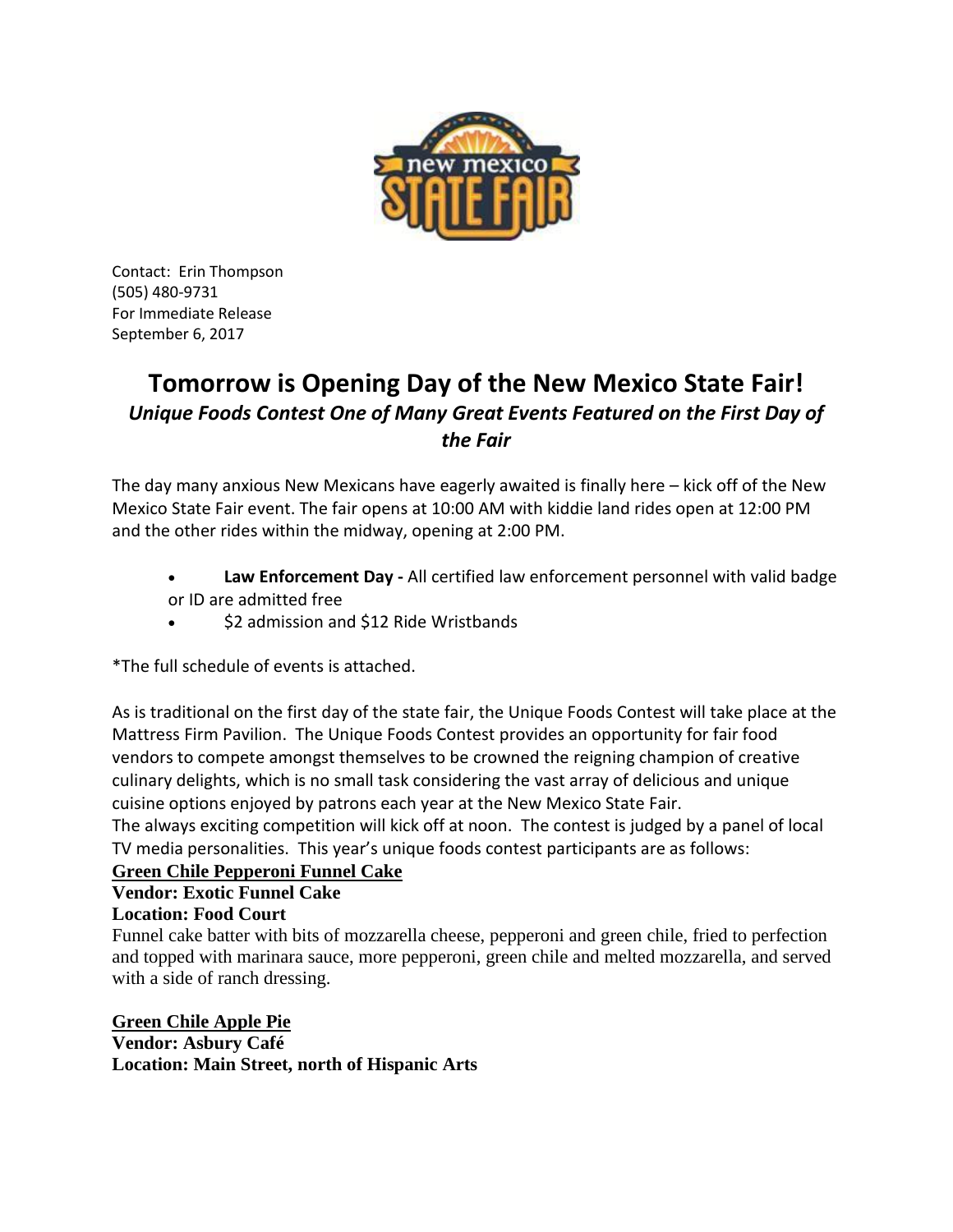

Contact: Erin Thompson (505) 480-9731 For Immediate Release September 6, 2017

# **Tomorrow is Opening Day of the New Mexico State Fair!** *Unique Foods Contest One of Many Great Events Featured on the First Day of the Fair*

The day many anxious New Mexicans have eagerly awaited is finally here – kick off of the New Mexico State Fair event. The fair opens at 10:00 AM with kiddie land rides open at 12:00 PM and the other rides within the midway, opening at 2:00 PM.

- **Law Enforcement Day -** All certified law enforcement personnel with valid badge or ID are admitted free
- \$2 admission and \$12 Ride Wristbands

\*The full schedule of events is attached.

As is traditional on the first day of the state fair, the Unique Foods Contest will take place at the Mattress Firm Pavilion. The Unique Foods Contest provides an opportunity for fair food vendors to compete amongst themselves to be crowned the reigning champion of creative culinary delights, which is no small task considering the vast array of delicious and unique cuisine options enjoyed by patrons each year at the New Mexico State Fair.

The always exciting competition will kick off at noon. The contest is judged by a panel of local TV media personalities. This year's unique foods contest participants are as follows:

## **Green Chile Pepperoni Funnel Cake**

## **Vendor: Exotic Funnel Cake**

## **Location: Food Court**

Funnel cake batter with bits of mozzarella cheese, pepperoni and green chile, fried to perfection and topped with marinara sauce, more pepperoni, green chile and melted mozzarella, and served with a side of ranch dressing.

**Green Chile Apple Pie Vendor: Asbury Café Location: Main Street, north of Hispanic Arts**